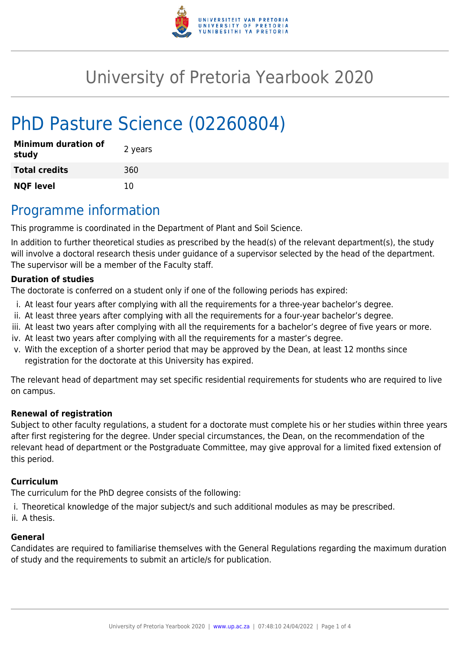

# University of Pretoria Yearbook 2020

# PhD Pasture Science (02260804)

| <b>Minimum duration of</b><br>study | 2 years |
|-------------------------------------|---------|
| <b>Total credits</b>                | 360     |
| <b>NQF level</b>                    | 10      |

## Programme information

This programme is coordinated in the Department of Plant and Soil Science.

In addition to further theoretical studies as prescribed by the head(s) of the relevant department(s), the study will involve a doctoral research thesis under guidance of a supervisor selected by the head of the department. The supervisor will be a member of the Faculty staff.

#### **Duration of studies**

The doctorate is conferred on a student only if one of the following periods has expired:

- i. At least four years after complying with all the requirements for a three-year bachelor's degree.
- ii. At least three years after complying with all the requirements for a four-year bachelor's degree.
- iii. At least two years after complying with all the requirements for a bachelor's degree of five years or more.
- iv. At least two years after complying with all the requirements for a master's degree.
- v. With the exception of a shorter period that may be approved by the Dean, at least 12 months since registration for the doctorate at this University has expired.

The relevant head of department may set specific residential requirements for students who are required to live on campus.

#### **Renewal of registration**

Subject to other faculty regulations, a student for a doctorate must complete his or her studies within three years after first registering for the degree. Under special circumstances, the Dean, on the recommendation of the relevant head of department or the Postgraduate Committee, may give approval for a limited fixed extension of this period.

#### **Curriculum**

The curriculum for the PhD degree consists of the following:

- i. Theoretical knowledge of the major subject/s and such additional modules as may be prescribed.
- ii. A thesis.

#### **General**

Candidates are required to familiarise themselves with the General Regulations regarding the maximum duration of study and the requirements to submit an article/s for publication.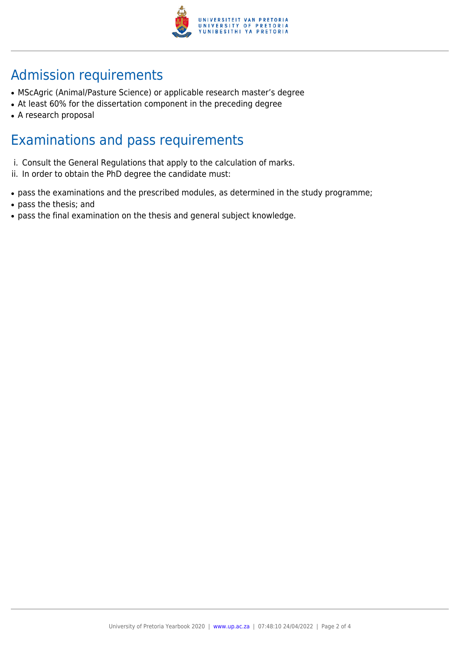

## Admission requirements

- MScAgric (Animal/Pasture Science) or applicable research master's degree
- At least 60% for the dissertation component in the preceding degree
- A research proposal

### Examinations and pass requirements

- i. Consult the General Regulations that apply to the calculation of marks.
- ii. In order to obtain the PhD degree the candidate must:
- pass the examinations and the prescribed modules, as determined in the study programme;
- pass the thesis; and
- pass the final examination on the thesis and general subject knowledge.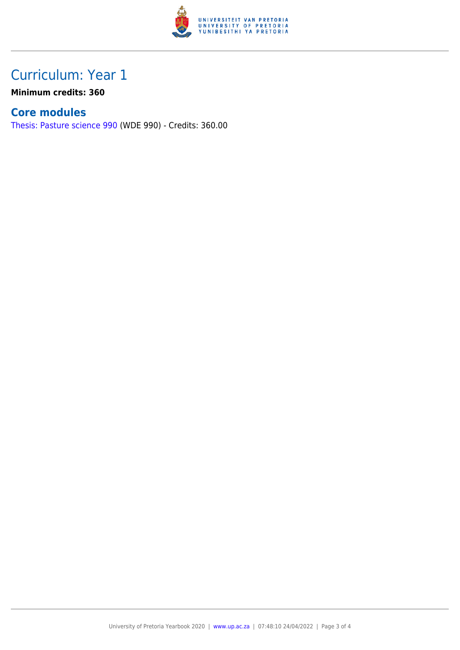

### Curriculum: Year 1

**Minimum credits: 360**

### **Core modules**

[Thesis: Pasture science 990](https://www.up.ac.za/yearbooks/2020/modules/view/WDE 990) (WDE 990) - Credits: 360.00